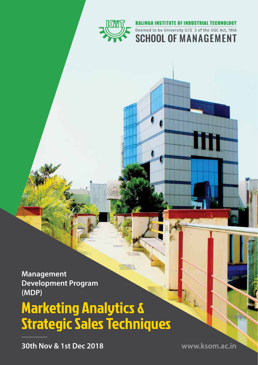

#### **KALINGA INSTITUTE OF INDUSTRIAL TECHNOLOGY**

Deemed to be University U/S 3 of the UGC Act, 1956 **SCHOOL OF MANAGEMENT** 

**Management Development Program (MDP)**

# Marketing Analytics & Strategic Sales Techniques

**30th Nov & 1st Dec 2018**

**www.ksom.ac.in**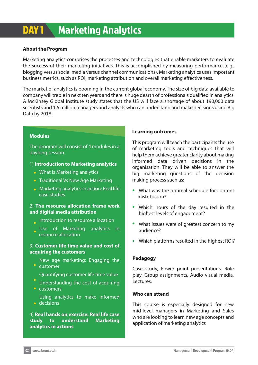## DAY 1 Marketing Analytics

#### **About the Program**

Marketing analytics comprises the processes and technologies that enable marketers to evaluate the success of their marketing initiatives. This is accomplished by measuring performance (e.g., blogging versus social media versus channel communications). Marketing analytics uses important business metrics, such as ROI, marketing attribution and overall marketing effectiveness.

The market of analytics is booming in the current global economy. The size of big data available to company will treble in next ten years and there is huge dearth of professionals qualified in analytics. A McKinsey Global Institute study states that the US will face a shortage of about 190,000 data scientists and 1.5 million managers and analysts who can understand and make decisions using Big Data by 2018.

#### **Modules**

The program will consist of 4 modules in a daylong session.

#### 1) **Introduction to Marketing analytics**

- What is Marketing analytics
- Traditional Vs New Age Marketing
- **Marketing analytics in action: Real life** case studies

#### 2) **The resource allocation frame work and digital media attribution**

- Introduction to resource allocation
- Use of Marketing analytics in resource allocation

#### 3) **Customer life time value and cost of acquiring the customers**

- New age marketing: Engaging the customer
- Quantifying customer life time value
- Understanding the cost of acquiring • customers
- Using analytics to make informed decisions

#### 4) **Real hands on exercise: Real life case study to understand Marketing analytics in actions**

#### **Learning outcomes**

This program will teach the participants the use of marketing tools and techniques that will help them achieve greater clarity about making informed data driven decisions in the organisation. They will be able to answer the big marketing questions of the decision making process such as:

- What was the optimal schedule for content distribution?
- Which hours of the day resulted in the highest levels of engagement?
- What issues were of greatest concern to my audience?
- Which platforms resulted in the highest ROI?

#### **Pedagogy**

Case study, Power point presentations, Role play, Group assignments, Audio visual media, Lectures.

#### **Who can attend**

This course is especially designed for new mid-level managers in Marketing and Sales who are looking to learn new age concepts and application of marketing analytics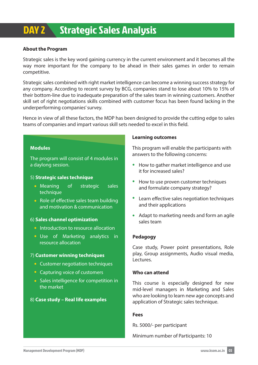## DAY 2 Strategic Sales Analysis

#### **About the Program**

Strategic sales is the key word gaining currency in the current environment and it becomes all the way more important for the company to be ahead in their sales games in order to remain competitive.

Strategic sales combined with right market intelligence can become a winning success strategy for any company. According to recent survey by BCG, companies stand to lose about 10% to 15% of their bottom-line due to inadequate preparation of the sales team in winning customers. Another skill set of right negotiations skills combined with customer focus has been found lacking in the underperforming companies' survey.

Hence in view of all these factors, the MDP has been designed to provide the cutting edge to sales teams of companies and impart various skill sets needed to excel in this field.

#### **Modules**

The program will consist of 4 modules in a daylong session.

#### 5) **Strategic sales technique**

- Meaning of strategic sales technique
- Role of effective sales team building and motivation & communication

#### 6) **Sales channel optimization**

- **Introduction to resource allocation**
- Use of Marketing analytics in resource allocation

#### 7) **Customer winning techniques**

- **Customer negotiation techniques**
- Capturing voice of customers
- Sales intelligence for competition in the market

#### 8) **Case study – Real life examples**

#### **Learning outcomes**

This program will enable the participants with answers to the following concerns:

- How to gather market intelligence and use it for increased sales?
- How to use proven customer techniques and formulate company strategy?
- Learn effective sales negotiation techniques and their applications
- Adapt to marketing needs and form an agile sales team

#### **Pedagogy**

Case study, Power point presentations, Role play, Group assignments, Audio visual media, Lectures.

#### **Who can attend**

This course is especially designed for new mid-level managers in Marketing and Sales who are looking to learn new age concepts and application of Strategic sales technique.

#### **Fees**

Rs. 5000/- per participant

Minimum number of Participants: 10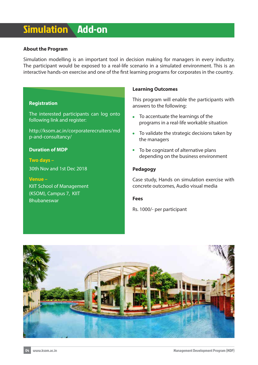### Simulation Add-on

#### **About the Program**

Simulation modelling is an important tool in decision making for managers in every industry. The participant would be exposed to a real-life scenario in a simulated environment. This is an interactive hands-on exercise and one of the first learning programs for corporates in the country.

#### **Registration**

The interested participants can log onto following link and register:

http://ksom.ac.in/corporaterecruiters/md p-and-consultancy/

#### **Duration of MDP**

**Two days –** 30th Nov and 1st Dec 2018

**Venue –** KIIT School of Management (KSOM), Campus 7, KIIT Bhubaneswar

#### **Learning Outcomes**

This program will enable the participants with answers to the following:

- To accentuate the learnings of the programs in a real-life workable situation
- To validate the strategic decisions taken by the managers
- To be cognizant of alternative plans depending on the business environment

#### **Pedagogy**

Case study, Hands on simulation exercise with concrete outcomes, Audio visual media

#### **Fees**

Rs. 1000/- per participant

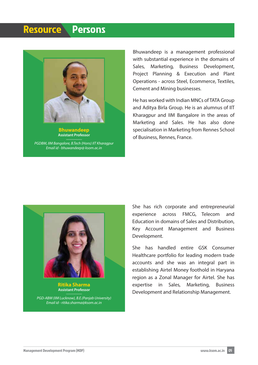### Resource Persons



**Bhuwandeep Assistant Professor**

*PGDBM, IIM Bangalore, B.Tech (Hons) IIT Kharagpur Email id - bhuwandeep@ ksom.ac.in*

Bhuwandeep is a management professional with substantial experience in the domains of Sales, Marketing, Business Development, Project Planning & Execution and Plant Operations - across Steel, Ecommerce, Textiles, Cement and Mining businesses.

He has worked with Indian MNCs of TATA Group and Aditya Birla Group. He is an alumnus of IIT Kharagpur and IIM Bangalore in the areas of Marketing and Sales. He has also done specialisation in Marketing from Rennes School of Business, Rennes, France.



**Ritika Sharma Assistant Professor**

*PGD-ABM (IIM Lucknow), B.E.(Panjab University) Email id - ritika.sharma@ksom.ac.in*

She has rich corporate and entrepreneurial experience across FMCG, Telecom and Education in domains of Sales and Distribution, Key Account Management and Business Development.

She has handled entire GSK Consumer Healthcare portfolio for leading modern trade accounts and she was an integral part in establishing Airtel Money foothold in Haryana region as a Zonal Manager for Airtel. She has expertise in Sales, Marketing, Business Development and Relationship Management.